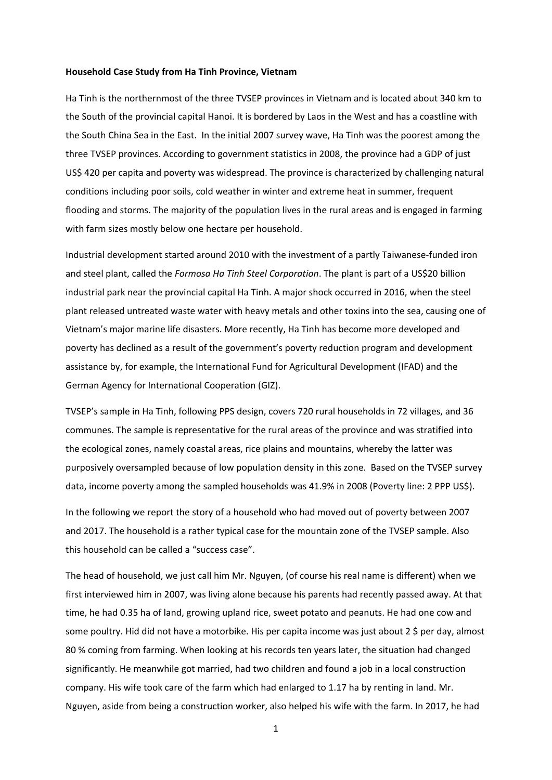## **Household Case Study from Ha Tinh Province, Vietnam**

Ha Tinh is the northernmost of the three TVSEP provinces in Vietnam and is located about 340 km to the South of the provincial capital Hanoi. It is bordered by Laos in the West and has a coastline with the South China Sea in the East. In the initial 2007 survey wave, Ha Tinh was the poorest among the three TVSEP provinces. According to government statistics in 2008, the province had a GDP of just US\$ 420 per capita and poverty was widespread. The province is characterized by challenging natural conditions including poor soils, cold weather in winter and extreme heat in summer, frequent flooding and storms. The majority of the population lives in the rural areas and is engaged in farming with farm sizes mostly below one hectare per household.

Industrial development started around 2010 with the investment of a partly Taiwanese‐funded iron and steel plant, called the *Formosa Ha Tinh Steel Corporation*. The plant is part of a US\$20 billion industrial park near the provincial capital Ha Tinh. A major shock occurred in 2016, when the steel plant released untreated waste water with heavy metals and other toxins into the sea, causing one of Vietnam's major marine life disasters. More recently, Ha Tinh has become more developed and poverty has declined as a result of the government's poverty reduction program and development assistance by, for example, the International Fund for Agricultural Development (IFAD) and the German Agency for International Cooperation (GIZ).

TVSEP's sample in Ha Tinh, following PPS design, covers 720 rural households in 72 villages, and 36 communes. The sample is representative for the rural areas of the province and was stratified into the ecological zones, namely coastal areas, rice plains and mountains, whereby the latter was purposively oversampled because of low population density in this zone. Based on the TVSEP survey data, income poverty among the sampled households was 41.9% in 2008 (Poverty line: 2 PPP US\$).

In the following we report the story of a household who had moved out of poverty between 2007 and 2017. The household is a rather typical case for the mountain zone of the TVSEP sample. Also this household can be called a "success case".

The head of household, we just call him Mr. Nguyen, (of course his real name is different) when we first interviewed him in 2007, was living alone because his parents had recently passed away. At that time, he had 0.35 ha of land, growing upland rice, sweet potato and peanuts. He had one cow and some poultry. Hid did not have a motorbike. His per capita income was just about 2 \$ per day, almost 80 % coming from farming. When looking at his records ten years later, the situation had changed significantly. He meanwhile got married, had two children and found a job in a local construction company. His wife took care of the farm which had enlarged to 1.17 ha by renting in land. Mr. Nguyen, aside from being a construction worker, also helped his wife with the farm. In 2017, he had

1